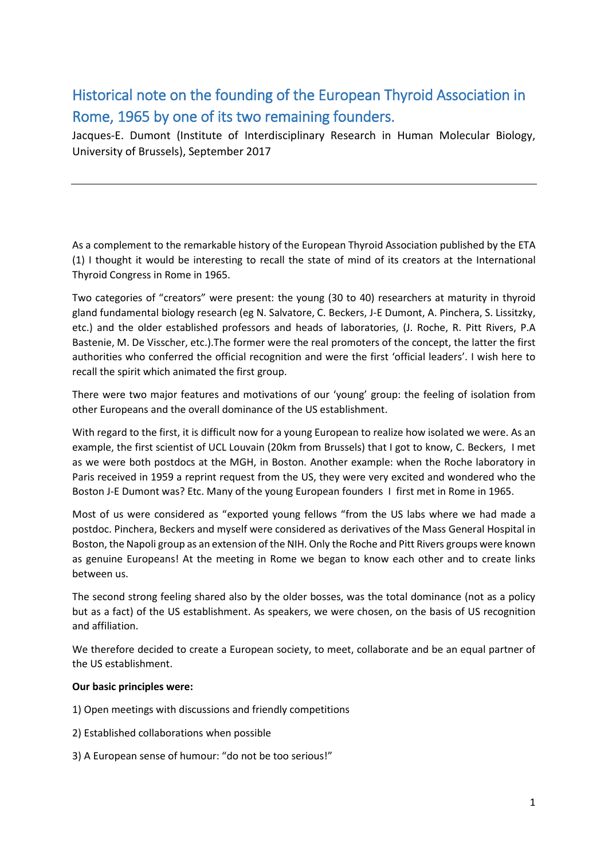## Historical note on the founding of the European Thyroid Association in Rome, 1965 by one of its two remaining founders.

Jacques-E. Dumont (Institute of Interdisciplinary Research in Human Molecular Biology, University of Brussels), September 2017

As a complement to the remarkable history of the European Thyroid Association published by the ETA (1) I thought it would be interesting to recall the state of mind of its creators at the International Thyroid Congress in Rome in 1965.

Two categories of "creators" were present: the young (30 to 40) researchers at maturity in thyroid gland fundamental biology research (eg N. Salvatore, C. Beckers, J-E Dumont, A. Pinchera, S. Lissitzky, etc.) and the older established professors and heads of laboratories, (J. Roche, R. Pitt Rivers, P.A Bastenie, M. De Visscher, etc.).The former were the real promoters of the concept, the latter the first authorities who conferred the official recognition and were the first 'official leaders'. I wish here to recall the spirit which animated the first group.

There were two major features and motivations of our 'young' group: the feeling of isolation from other Europeans and the overall dominance of the US establishment.

With regard to the first, it is difficult now for a young European to realize how isolated we were. As an example, the first scientist of UCL Louvain (20km from Brussels) that I got to know, C. Beckers, I met as we were both postdocs at the MGH, in Boston. Another example: when the Roche laboratory in Paris received in 1959 a reprint request from the US, they were very excited and wondered who the Boston J-E Dumont was? Etc. Many of the young European founders I first met in Rome in 1965.

Most of us were considered as "exported young fellows "from the US labs where we had made a postdoc. Pinchera, Beckers and myself were considered as derivatives of the Mass General Hospital in Boston, the Napoli group as an extension of the NIH. Only the Roche and Pitt Rivers groups were known as genuine Europeans! At the meeting in Rome we began to know each other and to create links between us.

The second strong feeling shared also by the older bosses, was the total dominance (not as a policy but as a fact) of the US establishment. As speakers, we were chosen, on the basis of US recognition and affiliation.

We therefore decided to create a European society, to meet, collaborate and be an equal partner of the US establishment.

## **Our basic principles were:**

1) Open meetings with discussions and friendly competitions

- 2) Established collaborations when possible
- 3) A European sense of humour: "do not be too serious!"